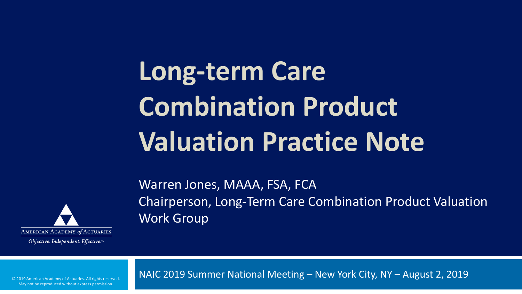## **Long-term Care Combination Product Valuation Practice Note**

Warren Jones, MAAA, FSA, FCA



Chairperson, Long-Term Care Combination Product Valuation Work Group

Objective. Independent. Effective.™

NAIC 2019 Summer National Meeting – New York City, NY – August 2, 2019

© 2019 American Academy of Actuaries. All rights reserved. May not be reproduced without express permission.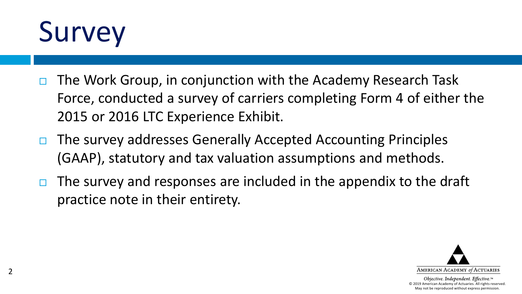

- $\Box$  The Work Group, in conjunction with the Academy Research Task Force, conducted a survey of carriers completing Form 4 of either the 2015 or 2016 LTC Experience Exhibit.
- $\Box$  The survey addresses Generally Accepted Accounting Principles (GAAP), statutory and tax valuation assumptions and methods.
- $\Box$  The survey and responses are included in the appendix to the draft practice note in their entirety.

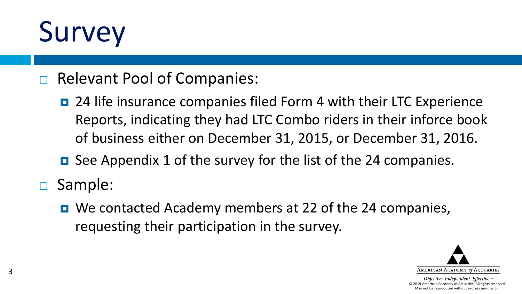## Survey

#### □ Relevant Pool of Companies:

- 24 life insurance companies filed Form 4 with their LTC Experience Reports, indicating they had LTC Combo riders in their inforce book of business either on December 31, 2015, or December 31, 2016.
- See Appendix 1 of the survey for the list of the 24 companies.
- Sample:
	- We contacted Academy members at 22 of the 24 companies, requesting their participation in the survey.

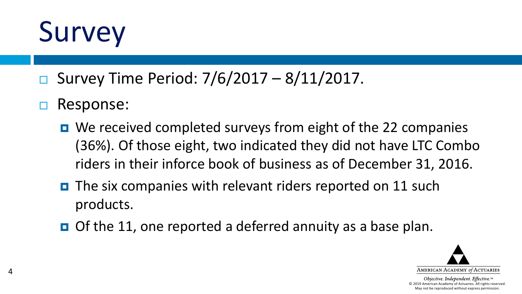## Survey

- □ Survey Time Period:  $7/6/2017 8/11/2017$ .
- □ Response:

4

- $\blacksquare$  We received completed surveys from eight of the 22 companies (36%). Of those eight, two indicated they did not have LTC Combo riders in their inforce book of business as of December 31, 2016.
- $\blacksquare$  The six companies with relevant riders reported on 11 such products.
- $\Box$  Of the 11, one reported a deferred annuity as a base plan.

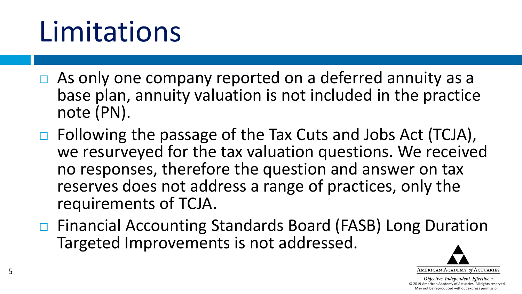## Limitations

- $\Box$  As only one company reported on a deferred annuity as a base plan, annuity valuation is not included in the practice note (PN).
- □ Following the passage of the Tax Cuts and Jobs Act (TCJA), we resurveyed for the tax valuation questions. We received no responses, therefore the question and answer on tax reserves does not address a range of practices, only the requirements of TCJA.
- □ Financial Accounting Standards Board (FASB) Long Duration Targeted Improvements is not addressed.

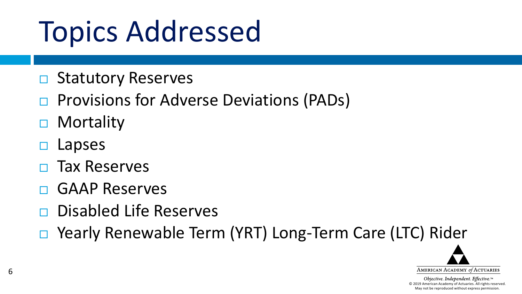## Topics Addressed

- $\Box$  Statutory Reserves
- $\Box$  Provisions for Adverse Deviations (PADs)
- □ Mortality
- Lapses
- Tax Reserves
- GAAP Reserves
- Disabled Life Reserves
- □ Yearly Renewable Term (YRT) Long-Term Care (LTC) Rider

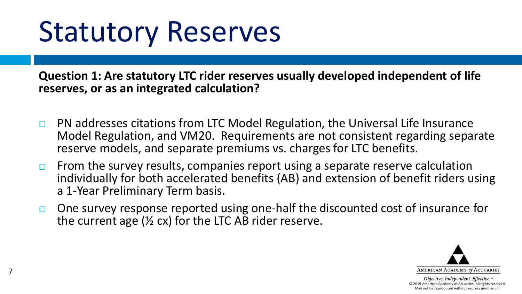## Statutory Reserves

7

**Question 1: Are statutory LTC rider reserves usually developed independent of life reserves, or as an integrated calculation?**

- $\Box$  PN addresses citations from LTC Model Regulation, the Universal Life Insurance Model Regulation, and VM20. Requirements are not consistent regarding separate reserve models, and separate premiums vs. charges for LTC benefits.
- $\Box$  From the survey results, companies report using a separate reserve calculation individually for both accelerated benefits (AB) and extension of benefit riders using a 1-Year Preliminary Term basis.
- $\Box$  One survey response reported using one-half the discounted cost of insurance for the current age ( $\frac{1}{2}$  cx) for the LTC AB rider reserve.

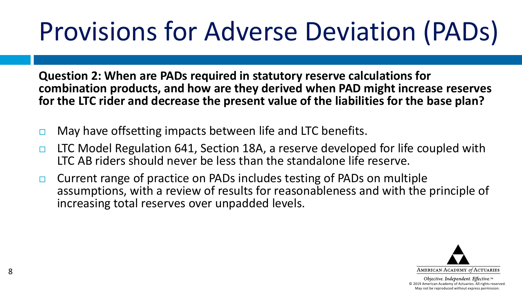## Provisions for Adverse Deviation (PADs)

**Question 2: When are PADs required in statutory reserve calculations for combination products, and how are they derived when PAD might increase reserves for the LTC rider and decrease the present value of the liabilities for the base plan?**

- $\Box$  May have offsetting impacts between life and LTC benefits.
- $\Box$  LTC Model Regulation 641, Section 18A, a reserve developed for life coupled with LTC AB riders should never be less than the standalone life reserve.
- $\Box$  Current range of practice on PADs includes testing of PADs on multiple assumptions, with a review of results for reasonableness and with the principle of increasing total reserves over unpadded levels.

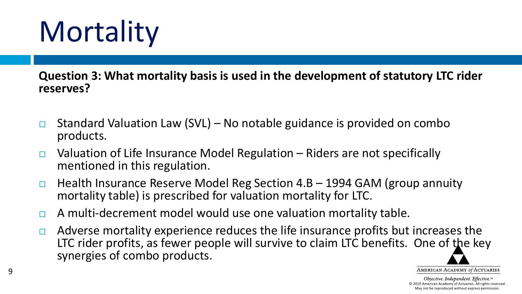# **Mortality**

**Question 3: What mortality basis is used in the development of statutory LTC rider reserves?**

- **EXTE Standard Valuation Law (SVL) No notable guidance is provided on combo** products.
- $\Box$  Valuation of Life Insurance Model Regulation Riders are not specifically mentioned in this regulation.
- $\Box$  Health Insurance Reserve Model Reg Section 4.B 1994 GAM (group annuity mortality table) is prescribed for valuation mortality for LTC.
- $\Box$  A multi-decrement model would use one valuation mortality table.
- $\Box$  Adverse mortality experience reduces the life insurance profits but increases the LTC rider profits, as fewer people will survive to claim LTC benefits. One of the key synergies of combo products.

© 2019 American Academy of Actuaries. All rights reserved. May not be reproduced without express permission.

AMERICAN ACADEMY of ACTUARIES Objective. Independent. Effective.™

9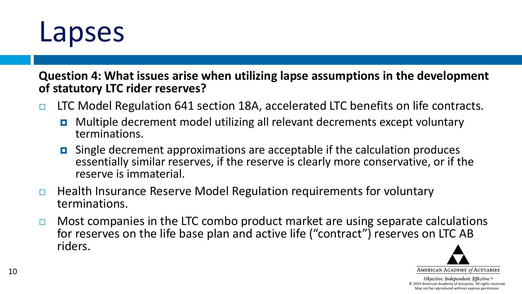

**Question 4: What issues arise when utilizing lapse assumptions in the development of statutory LTC rider reserves?** 

- □ LTC Model Regulation 641 section 18A, accelerated LTC benefits on life contracts.
	- **D** Multiple decrement model utilizing all relevant decrements except voluntary terminations.
	- Single decrement approximations are acceptable if the calculation produces essentially similar reserves, if the reserve is clearly more conservative, or if the reserve is immaterial.
- $\Box$  Health Insurance Reserve Model Regulation requirements for voluntary terminations.
- $\Box$  Most companies in the LTC combo product market are using separate calculations for reserves on the life base plan and active life ("contract") reserves on LTC AB riders.

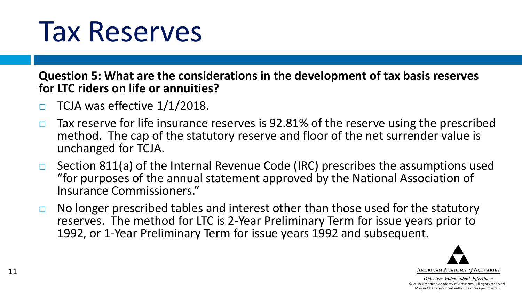#### Tax Reserves

**Question 5: What are the considerations in the development of tax basis reserves for LTC riders on life or annuities?**

- $\Box$  TCJA was effective  $1/1/2018$ .
- $\Box$  Tax reserve for life insurance reserves is 92.81% of the reserve using the prescribed method. The cap of the statutory reserve and floor of the net surrender value is unchanged for TCJA.
- $\Box$  Section 811(a) of the Internal Revenue Code (IRC) prescribes the assumptions used "for purposes of the annual statement approved by the National Association of Insurance Commissioners."
- $\Box$  No longer prescribed tables and interest other than those used for the statutory reserves. The method for LTC is 2-Year Preliminary Term for issue years prior to 1992, or 1-Year Preliminary Term for issue years 1992 and subsequent.

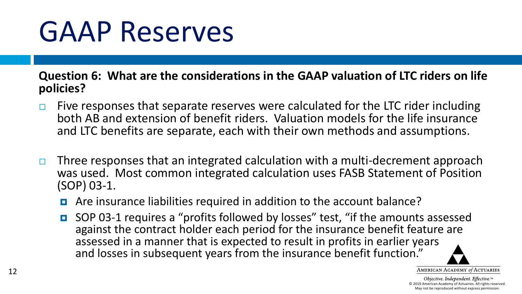## GAAP Reserves

**Question 6: What are the considerations in the GAAP valuation of LTC riders on life policies?**

- $\Box$  Five responses that separate reserves were calculated for the LTC rider including both AB and extension of benefit riders. Valuation models for the life insurance and LTC benefits are separate, each with their own methods and assumptions.
- $\Box$  Three responses that an integrated calculation with a multi-decrement approach was used. Most common integrated calculation uses FASB Statement of Position (SOP) 03-1.
	- Are insurance liabilities required in addition to the account balance?
	- SOP 03-1 requires a "profits followed by losses" test, "if the amounts assessed against the contract holder each period for the insurance benefit feature are assessed in a manner that is expected to result in profits in earlier years and losses in subsequent years from the insurance benefit function."

AMERICAN ACADEMY of ACTUARIES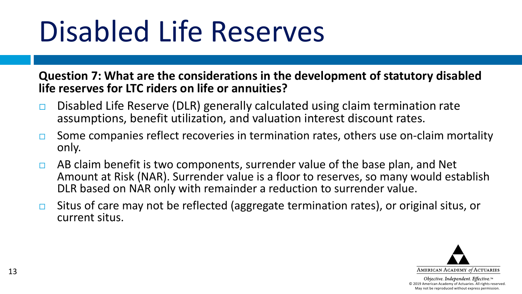## Disabled Life Reserves

**Question 7: What are the considerations in the development of statutory disabled life reserves for LTC riders on life or annuities?**

- $\Box$  Disabled Life Reserve (DLR) generally calculated using claim termination rate assumptions, benefit utilization, and valuation interest discount rates.
- $\Box$  Some companies reflect recoveries in termination rates, others use on-claim mortality only.
- $\Box$  AB claim benefit is two components, surrender value of the base plan, and Net Amount at Risk (NAR). Surrender value is a floor to reserves, so many would establish DLR based on NAR only with remainder a reduction to surrender value.
- □ Situs of care may not be reflected (aggregate termination rates), or original situs, or current situs.

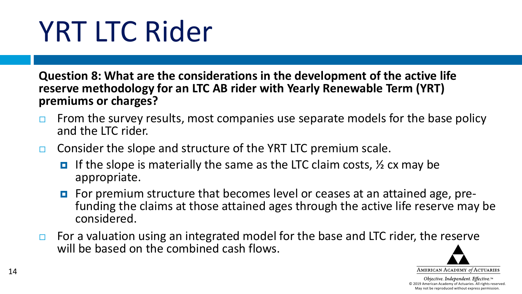## YRT LTC Rider

**Question 8: What are the considerations in the development of the active life reserve methodology for an LTC AB rider with Yearly Renewable Term (YRT) premiums or charges?**

- $\Box$  From the survey results, most companies use separate models for the base policy and the LTC rider.
- $\Box$  Consider the slope and structure of the YRT LTC premium scale.
	- **If the slope is materially the same as the LTC claim costs,**  $\frac{1}{2}$  **cx may be** appropriate.
	- For premium structure that becomes level or ceases at an attained age, pre-<br>funding the claims at those attained ages through the active life reserve may be considered.
- $\Box$  For a valuation using an integrated model for the base and LTC rider, the reserve will be based on the combined cash flows.

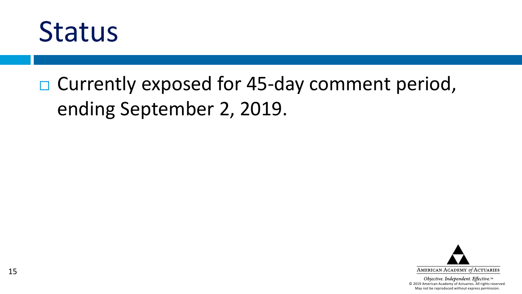

#### □ Currently exposed for 45-day comment period, ending September 2, 2019.

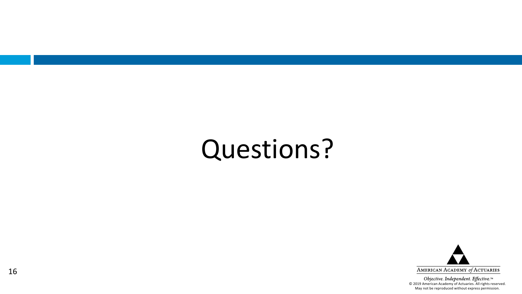#### Questions?